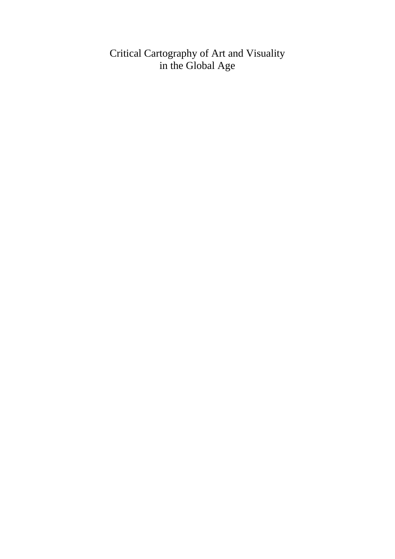## Critical Cartography of Art and Visuality in the Global Age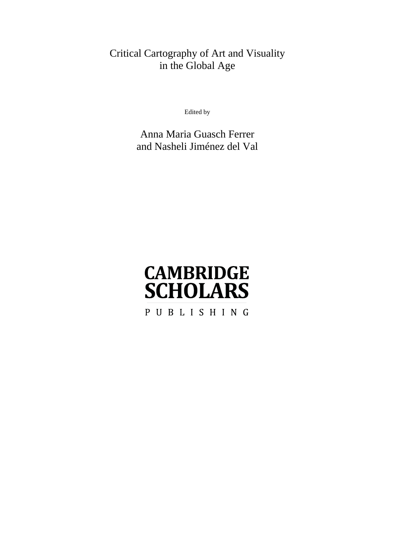## Critical Cartography of Art and Visuality in the Global Age

Edited by

Anna Maria Guasch Ferrer and Nasheli Jiménez del Val

# **CAMBRIDGE SCHOLARS**

PUBLISHING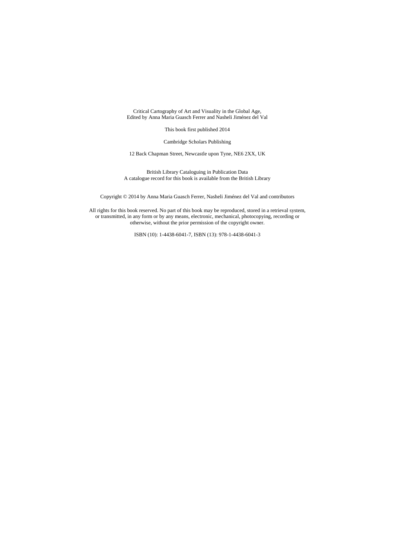Critical Cartography of Art and Visuality in the Global Age, Edited by Anna Maria Guasch Ferrer and Nasheli Jiménez del Val

This book first published 2014

Cambridge Scholars Publishing

12 Back Chapman Street, Newcastle upon Tyne, NE6 2XX, UK

British Library Cataloguing in Publication Data A catalogue record for this book is available from the British Library

Copyright © 2014 by Anna Maria Guasch Ferrer, Nasheli Jiménez del Val and contributors

All rights for this book reserved. No part of this book may be reproduced, stored in a retrieval system, or transmitted, in any form or by any means, electronic, mechanical, photocopying, recording or otherwise, without the prior permission of the copyright owner.

ISBN (10): 1-4438-6041-7, ISBN (13): 978-1-4438-6041-3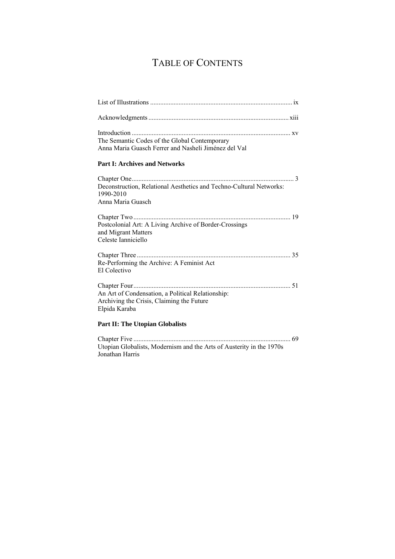## TABLE OF CONTENTS

| The Semantic Codes of the Global Contemporary<br>Anna Maria Guasch Ferrer and Nasheli Jiménez del Val           |
|-----------------------------------------------------------------------------------------------------------------|
| <b>Part I: Archives and Networks</b>                                                                            |
| Deconstruction, Relational Aesthetics and Techno-Cultural Networks:<br>1990-2010<br>Anna Maria Guasch           |
| Postcolonial Art: A Living Archive of Border-Crossings<br>and Migrant Matters<br>Celeste Ianniciello            |
|                                                                                                                 |
| Re-Performing the Archive: A Feminist Act<br>El Colectivo                                                       |
| An Art of Condensation, a Political Relationship:<br>Archiving the Crisis, Claiming the Future<br>Elpida Karaba |
| <b>Part II: The Utopian Globalists</b>                                                                          |
|                                                                                                                 |

Utopian Globalists, Modernism and the Arts of Austerity in the 1970s Jonathan Harris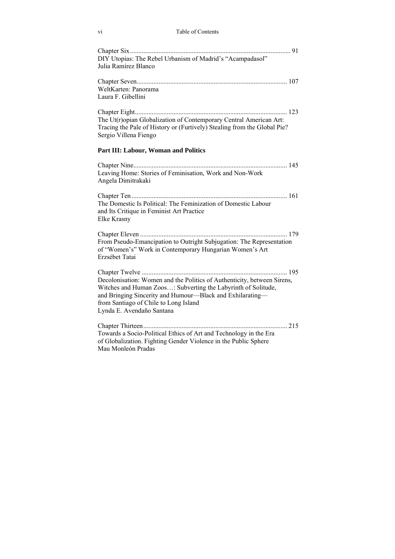| DIY Utopias: The Rebel Urbanism of Madrid's "Acampadasol"<br>Julia Ramírez Blanco                                                                                                                                                                                           |
|-----------------------------------------------------------------------------------------------------------------------------------------------------------------------------------------------------------------------------------------------------------------------------|
| WeltKarten: Panorama<br>Laura F. Gibellini                                                                                                                                                                                                                                  |
| The Ut(r)opian Globalization of Contemporary Central American Art:<br>Tracing the Pale of History or (Furtively) Stealing from the Global Pie?<br>Sergio Villena Fiengo                                                                                                     |
| Part III: Labour, Woman and Politics                                                                                                                                                                                                                                        |
| Leaving Home: Stories of Feminisation, Work and Non-Work<br>Angela Dimitrakaki                                                                                                                                                                                              |
| The Domestic Is Political: The Feminization of Domestic Labour<br>and Its Critique in Feminist Art Practice<br>Elke Krasny                                                                                                                                                  |
| From Pseudo-Emancipation to Outright Subjugation: The Representation<br>of "Women's" Work in Contemporary Hungarian Women's Art<br>Erzsébet Tatai                                                                                                                           |
| Decolonisation: Women and the Politics of Authenticity, between Sirens,<br>Witches and Human Zoos: Subverting the Labyrinth of Solitude,<br>and Bringing Sincerity and Humour-Black and Exhilarating-<br>from Santiago of Chile to Long Island<br>Lynda E. Avendaño Santana |
| Towards a Socio-Political Ethics of Art and Technology in the Era<br>of Globalization. Fighting Gender Violence in the Public Sphere<br>Mau Monleón Pradas                                                                                                                  |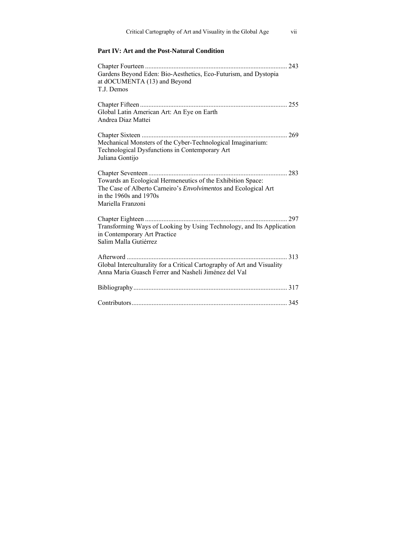| Critical Cartography of Art and Visuality in the Global Age<br>vii                                                                                                                |
|-----------------------------------------------------------------------------------------------------------------------------------------------------------------------------------|
| Part IV: Art and the Post-Natural Condition                                                                                                                                       |
| Gardens Beyond Eden: Bio-Aesthetics, Eco-Futurism, and Dystopia<br>at dOCUMENTA (13) and Beyond<br>T.J. Demos                                                                     |
|                                                                                                                                                                                   |
| Global Latin American Art: An Eye on Earth<br>Andrea Diaz Mattei                                                                                                                  |
| Mechanical Monsters of the Cyber-Technological Imaginarium:<br>Technological Dysfunctions in Contemporary Art<br>Juliana Gontijo                                                  |
| Towards an Ecological Hermeneutics of the Exhibition Space:<br>The Case of Alberto Carneiro's Envolvimentos and Ecological Art<br>in the $1960s$ and $1970s$<br>Mariella Franzoni |
| Transforming Ways of Looking by Using Technology, and Its Application<br>in Contemporary Art Practice<br>Salim Malla Gutiérrez                                                    |
| 313<br>Afterword<br>Global Interculturality for a Critical Cartography of Art and Visuality<br>Anna Maria Guasch Ferrer and Nasheli Jiménez del Val                               |
|                                                                                                                                                                                   |
|                                                                                                                                                                                   |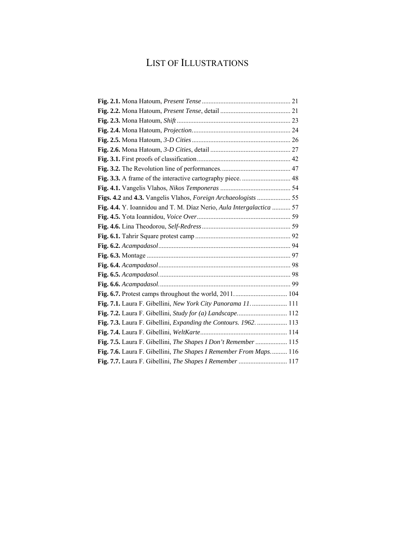## LIST OF ILLUSTRATIONS

| Fig. 3.3. A frame of the interactive cartography piece.  48          |  |
|----------------------------------------------------------------------|--|
|                                                                      |  |
| Figs. 4.2 and 4.3. Vangelis Vlahos, Foreign Archaeologists  55       |  |
| Fig. 4.4. Y. Ioannidou and T. M. Díaz Nerio, Aula Intergalactica  57 |  |
|                                                                      |  |
|                                                                      |  |
|                                                                      |  |
|                                                                      |  |
|                                                                      |  |
|                                                                      |  |
|                                                                      |  |
|                                                                      |  |
|                                                                      |  |
| Fig. 7.1. Laura F. Gibellini, New York City Panorama 11.  111        |  |
| Fig. 7.2. Laura F. Gibellini, Study for (a) Landscape 112            |  |
| Fig. 7.3. Laura F. Gibellini, Expanding the Contours. 1962.  113     |  |
|                                                                      |  |
| Fig. 7.5. Laura F. Gibellini, The Shapes I Don't Remember  115       |  |
| Fig. 7.6. Laura F. Gibellini, The Shapes I Remember From Maps 116    |  |
| Fig. 7.7. Laura F. Gibellini, The Shapes I Remember  117             |  |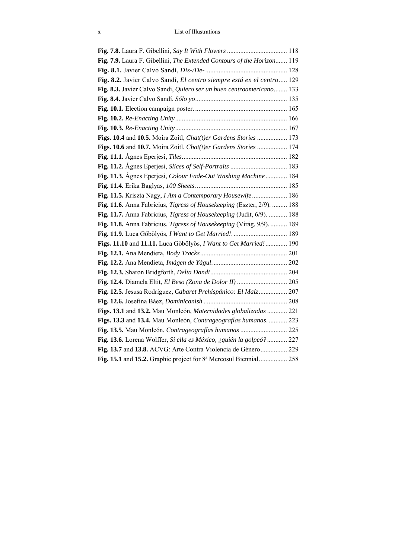### x List of Illustrations

| Fig. 7.9. Laura F. Gibellini, The Extended Contours of the Horizon 119       |  |
|------------------------------------------------------------------------------|--|
|                                                                              |  |
| Fig. 8.2. Javier Calvo Sandí, El centro siempre está en el centro 129        |  |
| Fig. 8.3. Javier Calvo Sandí, Quiero ser un buen centroamericano 133         |  |
|                                                                              |  |
|                                                                              |  |
|                                                                              |  |
|                                                                              |  |
| Figs. 10.4 and 10.5. Moira Zoitl, Chat(t)er Gardens Stories  173             |  |
| Figs. 10.6 and 10.7. Moira Zoitl, Chat(t)er Gardens Stories  174             |  |
|                                                                              |  |
|                                                                              |  |
| Fig. 11.3. Agnes Eperjesi, Colour Fade-Out Washing Machine 184               |  |
|                                                                              |  |
| Fig. 11.5. Kriszta Nagy, I Am a Contemporary Housewife  186                  |  |
| Fig. 11.6. Anna Fabricius, Tigress of Housekeeping (Eszter, 2/9).  188       |  |
| Fig. 11.7. Anna Fabricius, Tigress of Housekeeping (Judit, 6/9).  188        |  |
| Fig. 11.8. Anna Fabricius, Tigress of Housekeeping (Virág, 9/9).  189        |  |
| Fig. 11.9. Luca Gőbölyös, I Want to Get Married! 189                         |  |
| Figs. 11.10 and 11.11. Luca Gőbölyös, I Want to Get Married!  190            |  |
|                                                                              |  |
|                                                                              |  |
|                                                                              |  |
|                                                                              |  |
| Fig. 12.5. Jesusa Rodríguez, Cabaret Prehispánico: El Maíz 207               |  |
|                                                                              |  |
| Figs. 13.1 and 13.2. Mau Monleón, Maternidades globalizadas  221             |  |
| Figs. 13.3 and 13.4. Mau Monleón, Contrageografías humanas 223               |  |
| Fig. 13.5. Mau Monleón, Contrageografías humanas  225                        |  |
| Fig. 13.6. Lorena Wolffer, Si ella es México, ¿quién la golpeó? 227          |  |
| Fig. 13.7 and 13.8. ACVG: Arte Contra Violencia de Género 229                |  |
| Fig. 15.1 and 15.2. Graphic project for 8 <sup>ª</sup> Mercosul Biennial 258 |  |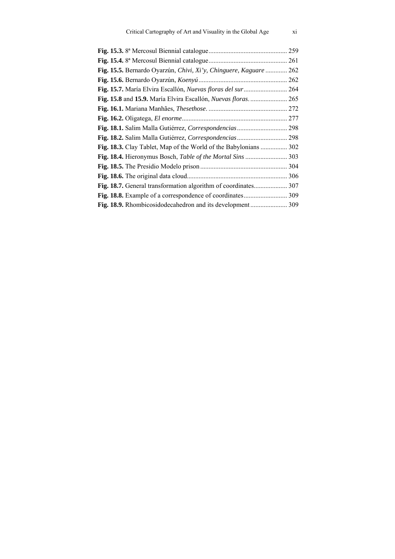|                                                                   | 259 |
|-------------------------------------------------------------------|-----|
|                                                                   | 261 |
| Fig. 15.5. Bernardo Oyarzún, Chivi, Xi'y, Chinguere, Kaguare  262 |     |
|                                                                   | 262 |
|                                                                   |     |
|                                                                   |     |
|                                                                   | 272 |
|                                                                   | 277 |
| Fig. 18.1. Salim Malla Gutiérrez, Correspondencias  298           |     |
|                                                                   |     |
| Fig. 18.3. Clay Tablet, Map of the World of the Babylonians  302  |     |
| Fig. 18.4. Hieronymus Bosch, Table of the Mortal Sins             | 303 |
|                                                                   | 304 |
|                                                                   | 306 |
|                                                                   | 307 |
| Fig. 18.8. Example of a correspondence of coordinates 309         |     |
| Fig. 18.9. Rhombicosidodecahedron and its development 309         |     |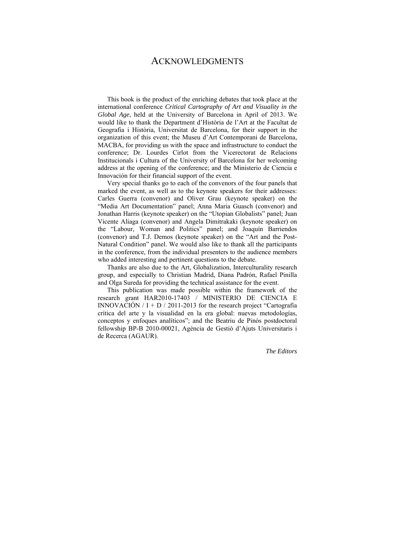### ACKNOWLEDGMENTS

 This book is the product of the enriching debates that took place at the international conference *Critical Cartography of Art and Visuality in the Global Age*, held at the University of Barcelona in April of 2013. We would like to thank the Department d'Història de l'Art at the Facultat de Geografia i Història, Universitat de Barcelona, for their support in the organization of this event; the Museu d'Art Contemporani de Barcelona, MACBA, for providing us with the space and infrastructure to conduct the conference; Dr. Lourdes Cirlot from the Vicerectorat de Relacions Institucionals i Cultura of the University of Barcelona for her welcoming address at the opening of the conference; and the Ministerio de Ciencia e Innovación for their financial support of the event.

 Very special thanks go to each of the convenors of the four panels that marked the event, as well as to the keynote speakers for their addresses: Carles Guerra (convenor) and Oliver Grau (keynote speaker) on the "Media Art Documentation" panel; Anna Maria Guasch (convenor) and Jonathan Harris (keynote speaker) on the "Utopian Globalists" panel; Juan Vicente Aliaga (convenor) and Angela Dimitrakaki (keynote speaker) on the "Labour, Woman and Politics" panel; and Joaquín Barriendos (convenor) and T.J. Demos (keynote speaker) on the "Art and the Post-Natural Condition" panel. We would also like to thank all the participants in the conference, from the individual presenters to the audience members who added interesting and pertinent questions to the debate.

 Thanks are also due to the Art, Globalization, Interculturality research group, and especially to Christian Madrid, Diana Padrón, Rafael Pinilla and Olga Sureda for providing the technical assistance for the event.

 This publication was made possible within the framework of the research grant HAR2010-17403 / MINISTERIO DE CIENCIA E INNOVACIÓN /  $I + D$  / 2011-2013 for the research project "Cartografía crítica del arte y la visualidad en la era global: nuevas metodologías, conceptos y enfoques analíticos"; and the Beatriu de Pinós postdoctoral fellowship BP-B 2010-00021, Agència de Gestió d'Ajuts Universitaris i de Recerca (AGAUR).

*The Editors*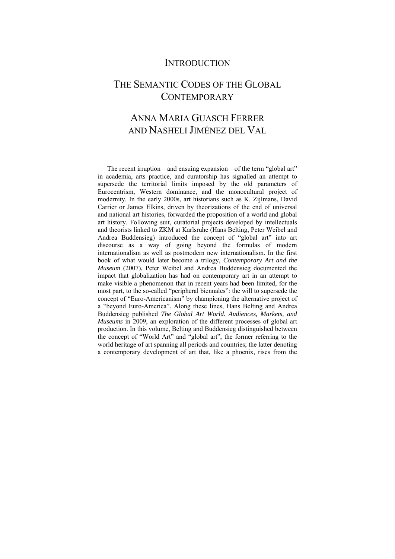### **INTRODUCTION**

## THE SEMANTIC CODES OF THE GLOBAL **CONTEMPORARY**

## ANNA MARIA GUASCH FERRER AND NASHELI JIMÉNEZ DEL VAL

 The recent irruption—and ensuing expansion—of the term "global art" in academia, arts practice, and curatorship has signalled an attempt to supersede the territorial limits imposed by the old parameters of Eurocentrism, Western dominance, and the monocultural project of modernity. In the early 2000s, art historians such as K. Zijlmans, David Carrier or James Elkins, driven by theorizations of the end of universal and national art histories, forwarded the proposition of a world and global art history. Following suit, curatorial projects developed by intellectuals and theorists linked to ZKM at Karlsruhe (Hans Belting, Peter Weibel and Andrea Buddensieg) introduced the concept of "global art" into art discourse as a way of going beyond the formulas of modern internationalism as well as postmodern new internationalism. In the first book of what would later become a trilogy, *Contemporary Art and the Museum* (2007), Peter Weibel and Andrea Buddensieg documented the impact that globalization has had on contemporary art in an attempt to make visible a phenomenon that in recent years had been limited, for the most part, to the so-called "peripheral biennales": the will to supersede the concept of "Euro-Americanism" by championing the alternative project of a "beyond Euro-America". Along these lines, Hans Belting and Andrea Buddensieg published *The Global Art World. Audiences, Markets, and Museums* in 2009, an exploration of the different processes of global art production. In this volume, Belting and Buddensieg distinguished between the concept of "World Art" and "global art", the former referring to the world heritage of art spanning all periods and countries; the latter denoting a contemporary development of art that, like a phoenix, rises from the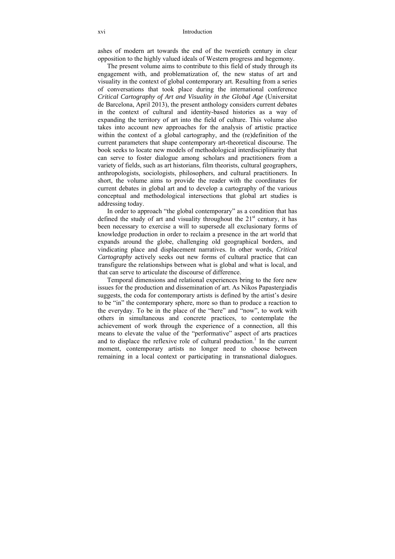ashes of modern art towards the end of the twentieth century in clear opposition to the highly valued ideals of Western progress and hegemony.

 The present volume aims to contribute to this field of study through its engagement with, and problematization of, the new status of art and visuality in the context of global contemporary art. Resulting from a series of conversations that took place during the international conference *Critical Cartography of Art and Visuality in the Global Age* (Universitat de Barcelona, April 2013), the present anthology considers current debates in the context of cultural and identity-based histories as a way of expanding the territory of art into the field of culture. This volume also takes into account new approaches for the analysis of artistic practice within the context of a global cartography, and the (re)definition of the current parameters that shape contemporary art-theoretical discourse. The book seeks to locate new models of methodological interdisciplinarity that can serve to foster dialogue among scholars and practitioners from a variety of fields, such as art historians, film theorists, cultural geographers, anthropologists, sociologists, philosophers, and cultural practitioners. In short, the volume aims to provide the reader with the coordinates for current debates in global art and to develop a cartography of the various conceptual and methodological intersections that global art studies is addressing today.

 In order to approach "the global contemporary" as a condition that has defined the study of art and visuality throughout the  $21<sup>st</sup>$  century, it has been necessary to exercise a will to supersede all exclusionary forms of knowledge production in order to reclaim a presence in the art world that expands around the globe, challenging old geographical borders, and vindicating place and displacement narratives. In other words, *Critical Cartography* actively seeks out new forms of cultural practice that can transfigure the relationships between what is global and what is local, and that can serve to articulate the discourse of difference.

 Temporal dimensions and relational experiences bring to the fore new issues for the production and dissemination of art. As Nikos Papastergiadis suggests, the coda for contemporary artists is defined by the artist's desire to be "in" the contemporary sphere, more so than to produce a reaction to the everyday. To be in the place of the "here" and "now", to work with others in simultaneous and concrete practices, to contemplate the achievement of work through the experience of a connection, all this means to elevate the value of the "performative" aspect of arts practices and to displace the reflexive role of cultural production.<sup>1</sup> In the current moment, contemporary artists no longer need to choose between remaining in a local context or participating in transnational dialogues.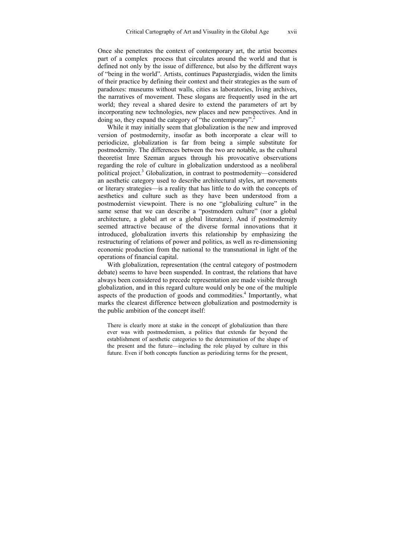Once she penetrates the context of contemporary art, the artist becomes part of a complex process that circulates around the world and that is defined not only by the issue of difference, but also by the different ways of "being in the world". Artists, continues Papastergiadis, widen the limits of their practice by defining their context and their strategies as the sum of paradoxes: museums without walls, cities as laboratories, living archives, the narratives of movement. These slogans are frequently used in the art world; they reveal a shared desire to extend the parameters of art by incorporating new technologies, new places and new perspectives. And in doing so, they expand the category of "the contemporary".2

While it may initially seem that globalization is the new and improved version of postmodernity, insofar as both incorporate a clear will to periodicize, globalization is far from being a simple substitute for postmodernity. The differences between the two are notable, as the cultural theoretist Imre Szeman argues through his provocative observations regarding the role of culture in globalization understood as a neoliberal political project.<sup>3</sup> Globalization, in contrast to postmodernity—considered an aesthetic category used to describe architectural styles, art movements or literary strategies—is a reality that has little to do with the concepts of aesthetics and culture such as they have been understood from a postmodernist viewpoint. There is no one "globalizing culture" in the same sense that we can describe a "postmodern culture" (nor a global architecture, a global art or a global literature). And if postmodernity seemed attractive because of the diverse formal innovations that it introduced, globalization inverts this relationship by emphasizing the restructuring of relations of power and politics, as well as re-dimensioning economic production from the national to the transnational in light of the operations of financial capital.

 With globalization, representation (the central category of postmodern debate) seems to have been suspended. In contrast, the relations that have always been considered to precede representation are made visible through globalization, and in this regard culture would only be one of the multiple aspects of the production of goods and commodities.<sup>4</sup> Importantly, what marks the clearest difference between globalization and postmodernity is the public ambition of the concept itself:

There is clearly more at stake in the concept of globalization than there ever was with postmodernism, a politics that extends far beyond the establishment of aesthetic categories to the determination of the shape of the present and the future—including the role played by culture in this future. Even if both concepts function as periodizing terms for the present,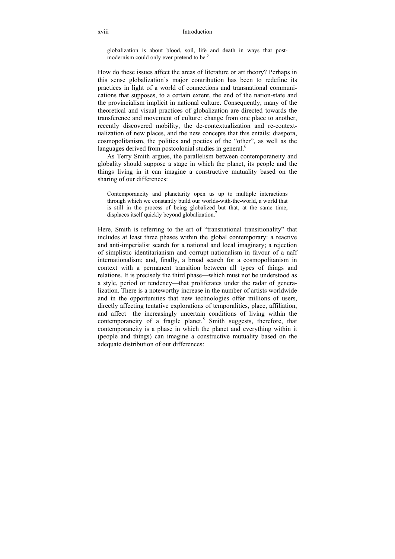globalization is about blood, soil, life and death in ways that postmodernism could only ever pretend to be.<sup>5</sup>

How do these issues affect the areas of literature or art theory? Perhaps in this sense globalization's major contribution has been to redefine its practices in light of a world of connections and transnational communications that supposes, to a certain extent, the end of the nation-state and the provincialism implicit in national culture. Consequently, many of the theoretical and visual practices of globalization are directed towards the transference and movement of culture: change from one place to another, recently discovered mobility, the de-contextualization and re-contextualization of new places, and the new concepts that this entails: diaspora, cosmopolitanism, the politics and poetics of the "other", as well as the languages derived from postcolonial studies in general.<sup>6</sup>

 As Terry Smith argues, the parallelism between contemporaneity and globality should suppose a stage in which the planet, its people and the things living in it can imagine a constructive mutuality based on the sharing of our differences:

Contemporaneity and planetarity open us up to multiple interactions through which we constantly build our worlds-with-the-world, a world that is still in the process of being globalized but that, at the same time, displaces itself quickly beyond globalization.<sup>7</sup>

Here, Smith is referring to the art of "transnational transitionality" that includes at least three phases within the global contemporary: a reactive and anti-imperialist search for a national and local imaginary; a rejection of simplistic identitarianism and corrupt nationalism in favour of a naïf internationalism; and, finally, a broad search for a cosmopolitanism in context with a permanent transition between all types of things and relations. It is precisely the third phase—which must not be understood as a style, period or tendency—that proliferates under the radar of generalization. There is a noteworthy increase in the number of artists worldwide and in the opportunities that new technologies offer millions of users, directly affecting tentative explorations of temporalities, place, affiliation, and affect—the increasingly uncertain conditions of living within the contemporaneity of a fragile planet.<sup>8</sup> Smith suggests, therefore, that contemporaneity is a phase in which the planet and everything within it (people and things) can imagine a constructive mutuality based on the adequate distribution of our differences: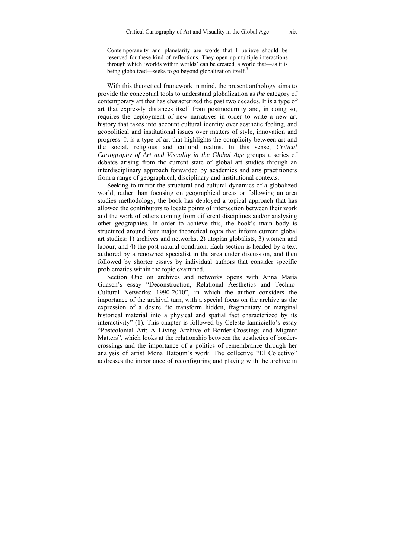Contemporaneity and planetarity are words that I believe should be reserved for these kind of reflections. They open up multiple interactions through which 'worlds within worlds' can be created, a world that—as it is being globalized—seeks to go beyond globalization itself.<sup>9</sup>

 With this theoretical framework in mind, the present anthology aims to provide the conceptual tools to understand globalization as *the* category of contemporary art that has characterized the past two decades. It is a type of art that expressly distances itself from postmodernity and, in doing so, requires the deployment of new narratives in order to write a new art history that takes into account cultural identity over aesthetic feeling, and geopolitical and institutional issues over matters of style, innovation and progress. It is a type of art that highlights the complicity between art and the social, religious and cultural realms. In this sense, *Critical Cartography of Art and Visuality in the Global Age* groups a series of debates arising from the current state of global art studies through an interdisciplinary approach forwarded by academics and arts practitioners from a range of geographical, disciplinary and institutional contexts.

 Seeking to mirror the structural and cultural dynamics of a globalized world, rather than focusing on geographical areas or following an area studies methodology, the book has deployed a topical approach that has allowed the contributors to locate points of intersection between their work and the work of others coming from different disciplines and/or analysing other geographies. In order to achieve this, the book's main body is structured around four major theoretical *topoi* that inform current global art studies: 1) archives and networks, 2) utopian globalists, 3) women and labour, and 4) the post-natural condition. Each section is headed by a text authored by a renowned specialist in the area under discussion, and then followed by shorter essays by individual authors that consider specific problematics within the topic examined.

 Section One on archives and networks opens with Anna Maria Guasch's essay "Deconstruction, Relational Aesthetics and Techno-Cultural Networks: 1990-2010", in which the author considers the importance of the archival turn, with a special focus on the archive as the expression of a desire "to transform hidden, fragmentary or marginal historical material into a physical and spatial fact characterized by its interactivity" (1). This chapter is followed by Celeste Ianniciello's essay "Postcolonial Art: A Living Archive of Border-Crossings and Migrant Matters", which looks at the relationship between the aesthetics of bordercrossings and the importance of a politics of remembrance through her analysis of artist Mona Hatoum's work. The collective "El Colectivo" addresses the importance of reconfiguring and playing with the archive in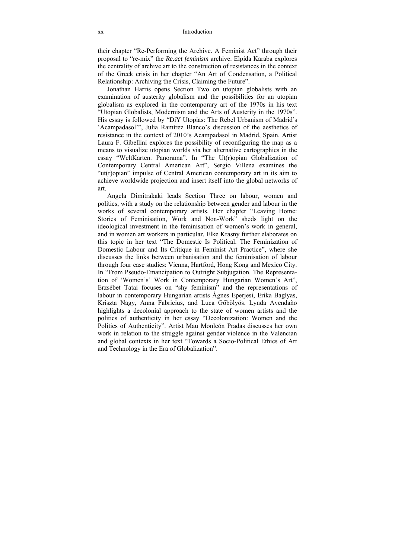their chapter "Re-Performing the Archive. A Feminist Act" through their proposal to "re-mix" the *Re.act feminism* archive. Elpida Karaba explores the centrality of archive art to the construction of resistances in the context of the Greek crisis in her chapter "An Art of Condensation, a Political Relationship: Archiving the Crisis, Claiming the Future".

 Jonathan Harris opens Section Two on utopian globalists with an examination of austerity globalism and the possibilities for an utopian globalism as explored in the contemporary art of the 1970s in his text "Utopian Globalists, Modernism and the Arts of Austerity in the 1970s". His essay is followed by "DiY Utopias: The Rebel Urbanism of Madrid's 'Acampadasol'", Julia Ramírez Blanco's discussion of the aesthetics of resistance in the context of 2010's Acampadasol in Madrid, Spain. Artist Laura F. Gibellini explores the possibility of reconfiguring the map as a means to visualize utopian worlds via her alternative cartographies in the essay "WeltKarten. Panorama". In "The Ut(r)opian Globalization of Contemporary Central American Art", Sergio Villena examines the "ut(r)opian" impulse of Central American contemporary art in its aim to achieve worldwide projection and insert itself into the global networks of art.

 Angela Dimitrakaki leads Section Three on labour, women and politics, with a study on the relationship between gender and labour in the works of several contemporary artists. Her chapter "Leaving Home: Stories of Feminisation, Work and Non-Work" sheds light on the ideological investment in the feminisation of women's work in general, and in women art workers in particular. Elke Krasny further elaborates on this topic in her text "The Domestic Is Political. The Feminization of Domestic Labour and Its Critique in Feminist Art Practice", where she discusses the links between urbanisation and the feminisation of labour through four case studies: Vienna, Hartford, Hong Kong and Mexico City. In "From Pseudo-Emancipation to Outright Subjugation. The Representation of 'Women's' Work in Contemporary Hungarian Women's Art", Erzsébet Tatai focuses on "shy feminism" and the representations of labour in contemporary Hungarian artists Ágnes Eperjesi, Erika Baglyas, Kriszta Nagy, Anna Fabricius, and Luca Gőbölyös. Lynda Avendaño highlights a decolonial approach to the state of women artists and the politics of authenticity in her essay "Decolonization: Women and the Politics of Authenticity". Artist Mau Monleón Pradas discusses her own work in relation to the struggle against gender violence in the Valencian and global contexts in her text "Towards a Socio-Political Ethics of Art and Technology in the Era of Globalization".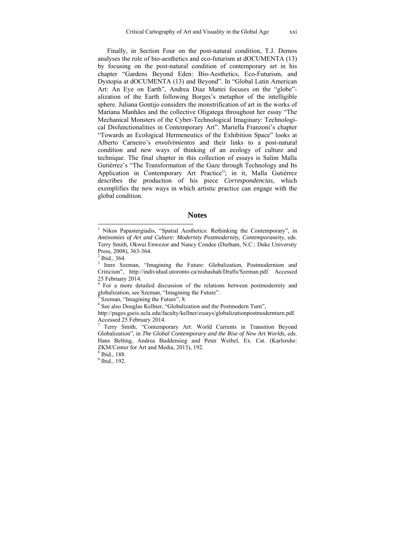Finally, in Section Four on the post-natural condition, T.J. Demos analyses the role of bio-aesthetics and eco-futurism at dOCUMENTA (13) by focusing on the post-natural condition of contemporary art in his chapter "Gardens Beyond Eden: Bio-Aesthetics, Eco-Futurism, and Dystopia at dOCUMENTA (13) and Beyond". In "Global Latin American Art: An Eye on Earth", Andrea Díaz Mattei focuses on the "globe" alization of the Earth following Borges's metaphor of the intelligible sphere. Juliana Gontijo considers the monstrification of art in the works of Mariana Manhães and the collective Oligatega throughout her essay "The Mechanical Monsters of the Cyber-Technological Imaginary: Technological Disfunctionalities in Contemporary Art". Mariella Franzoni's chapter "Towards an Ecological Hermeneutics of the Exhibition Space" looks at Alberto Carneiro's *envolvimientos* and their links to a post-natural condition and new ways of thinking of an ecology of culture and technique. The final chapter in this collection of essays is Salim Malla Gutiérrez's "The Transformation of the Gaze through Technology and Its Application in Contemporary Art Practice"; in it, Malla Gutiérrez describes the production of his piece *Correspondencias*, which exemplifies the new ways in which artistic practice can engage with the global condition.

#### **Notes**

<sup>1</sup> Nikos Papastergiadis, "Spatial Aesthetics: Rethinking the Contemporary", in *Antinomies of Art and Culture: Modernity Postmodernity, Contemporaneity*, eds. Terry Smith, Okwui Enwezor and Nancy Condee (Durham, N.C.: Duke University Press, 2008), 363-364.

 $2$  Ibid., 364.

<sup>&</sup>lt;sup>3</sup> Imre Szeman, "Imagining the Future: Globalization, Postmodernism and Criticism", http://individual.utoronto.ca/nishashah/Drafts/Szeman.pdf. Accessed 25 February 2014.

<sup>4</sup> For a more detailed discussion of the relations between postmodernity and globalization, see Szeman, "Imagining the Future".

Szeman, "Imagining the Future", 8.

<sup>&</sup>lt;sup>6</sup> See also Douglas Kellner, "Globalization and the Postmodern Turn",

http://pages.gseis.ucla.edu/faculty/kellner/essays/globalizationpostmodernturn.pdf. Accessed 25 February 2014.

<sup>7</sup> Terry Smith, "Contemporary Art: World Currents in Transition Beyond Globalization", in *The Global Contemporary and the Rise of New Art Worlds*, eds. Hans Belting, Andrea Buddensieg and Peter Weibel, Ex. Cat. (Karlsruhe: ZKM/Center for Art and Media, 2013), 192.

<sup>8</sup> Ibid., 188.

<sup>&</sup>lt;sup>9</sup> Ibid., 192.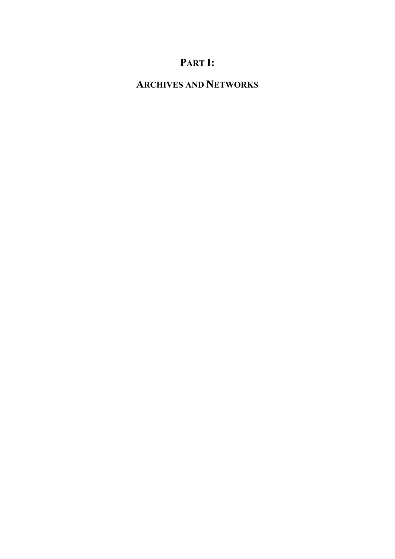## **PART I:**

## **ARCHIVES AND NETWORKS**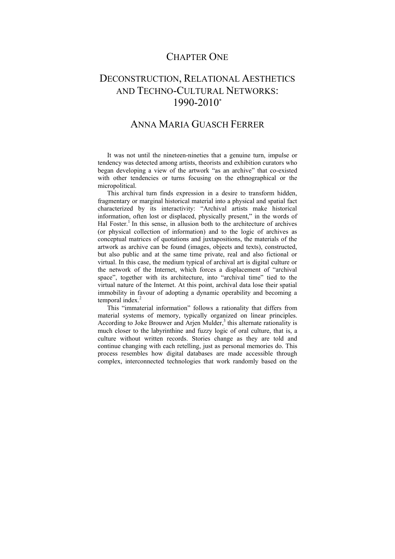### CHAPTER ONE

## DECONSTRUCTION, RELATIONAL AESTHETICS AND TECHNO-CULTURAL NETWORKS: 1990-2010\*

### ANNA MARIA GUASCH FERRER

It was not until the nineteen-nineties that a genuine turn, impulse or tendency was detected among artists, theorists and exhibition curators who began developing a view of the artwork "as an archive" that co-existed with other tendencies or turns focusing on the ethnographical or the micropolitical.

This archival turn finds expression in a desire to transform hidden, fragmentary or marginal historical material into a physical and spatial fact characterized by its interactivity: "Archival artists make historical information, often lost or displaced, physically present," in the words of Hal Foster.<sup>1</sup> In this sense, in allusion both to the architecture of archives (or physical collection of information) and to the logic of archives as conceptual matrices of quotations and juxtapositions, the materials of the artwork as archive can be found (images, objects and texts), constructed, but also public and at the same time private, real and also fictional or virtual. In this case, the medium typical of archival art is digital culture or the network of the Internet, which forces a displacement of "archival space", together with its architecture, into "archival time" tied to the virtual nature of the Internet. At this point, archival data lose their spatial immobility in favour of adopting a dynamic operability and becoming a temporal index. $2$ 

This "immaterial information" follows a rationality that differs from material systems of memory, typically organized on linear principles. According to Joke Brouwer and Arjen Mulder, $3$  this alternate rationality is much closer to the labyrinthine and fuzzy logic of oral culture, that is, a culture without written records. Stories change as they are told and continue changing with each retelling, just as personal memories do. This process resembles how digital databases are made accessible through complex, interconnected technologies that work randomly based on the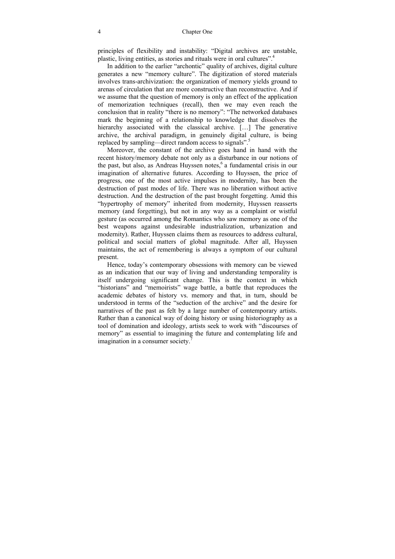principles of flexibility and instability: "Digital archives are unstable, plastic, living entities, as stories and rituals were in oral cultures".4

In addition to the earlier "archontic" quality of archives, digital culture generates a new "memory culture". The digitization of stored materials involves trans-archivization: the organization of memory yields ground to arenas of circulation that are more constructive than reconstructive. And if we assume that the question of memory is only an effect of the application of memorization techniques (recall), then we may even reach the conclusion that in reality "there is no memory": "The networked databases mark the beginning of a relationship to knowledge that dissolves the hierarchy associated with the classical archive. [...] The generative archive, the archival paradigm, in genuinely digital culture, is being replaced by sampling—direct random access to signals".<sup>5</sup>

Moreover, the constant of the archive goes hand in hand with the recent history/memory debate not only as a disturbance in our notions of the past, but also, as Andreas Huyssen notes,<sup>6</sup> a fundamental crisis in our imagination of alternative futures. According to Huyssen, the price of progress, one of the most active impulses in modernity, has been the destruction of past modes of life. There was no liberation without active destruction. And the destruction of the past brought forgetting. Amid this "hypertrophy of memory" inherited from modernity, Huyssen reasserts memory (and forgetting), but not in any way as a complaint or wistful gesture (as occurred among the Romantics who saw memory as one of the best weapons against undesirable industrialization, urbanization and modernity). Rather, Huyssen claims them as resources to address cultural, political and social matters of global magnitude. After all, Huyssen maintains, the act of remembering is always a symptom of our cultural present.

Hence, today's contemporary obsessions with memory can be viewed as an indication that our way of living and understanding temporality is itself undergoing significant change. This is the context in which "historians" and "memoirists" wage battle, a battle that reproduces the academic debates of history vs. memory and that, in turn, should be understood in terms of the "seduction of the archive" and the desire for narratives of the past as felt by a large number of contemporary artists. Rather than a canonical way of doing history or using historiography as a tool of domination and ideology, artists seek to work with "discourses of memory" as essential to imagining the future and contemplating life and imagination in a consumer society.<sup>7</sup>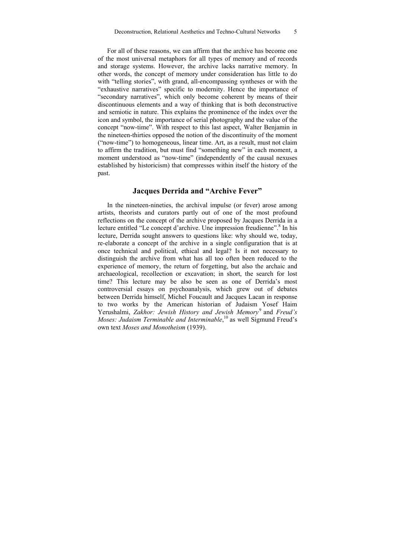For all of these reasons, we can affirm that the archive has become one of the most universal metaphors for all types of memory and of records and storage systems. However, the archive lacks narrative memory. In other words, the concept of memory under consideration has little to do with "telling stories", with grand, all-encompassing syntheses or with the "exhaustive narratives" specific to modernity. Hence the importance of "secondary narratives", which only become coherent by means of their discontinuous elements and a way of thinking that is both deconstructive and semiotic in nature. This explains the prominence of the index over the icon and symbol, the importance of serial photography and the value of the concept "now-time". With respect to this last aspect, Walter Benjamin in the nineteen-thirties opposed the notion of the discontinuity of the moment ("now-time") to homogeneous, linear time. Art, as a result, must not claim to affirm the tradition, but must find "something new" in each moment, a moment understood as "now-time" (independently of the causal nexuses established by historicism) that compresses within itself the history of the past.

### **Jacques Derrida and "Archive Fever"**

In the nineteen-nineties, the archival impulse (or fever) arose among artists, theorists and curators partly out of one of the most profound reflections on the concept of the archive proposed by Jacques Derrida in a lecture entitled "Le concept d'archive. Une impression freudienne".<sup>8</sup> In his lecture, Derrida sought answers to questions like: why should we, today, re-elaborate a concept of the archive in a single configuration that is at once technical and political, ethical and legal? Is it not necessary to distinguish the archive from what has all too often been reduced to the experience of memory, the return of forgetting, but also the archaic and archaeological, recollection or excavation; in short, the search for lost time? This lecture may be also be seen as one of Derrida's most controversial essays on psychoanalysis, which grew out of debates between Derrida himself, Michel Foucault and Jacques Lacan in response to two works by the American historian of Judaism Yosef Haim Yerushalmi, Zakhor: Jewish History and Jewish Memory<sup>9</sup> and Freud's *Moses: Judaism Terminable and Interminable*, 10 as well Sigmund Freud's own text *Moses and Monotheism* (1939).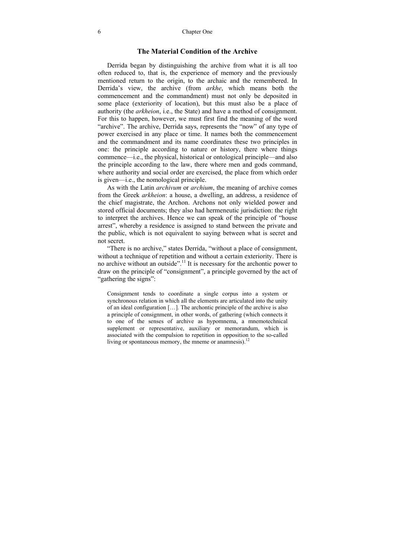#### **The Material Condition of the Archive**

Derrida began by distinguishing the archive from what it is all too often reduced to, that is, the experience of memory and the previously mentioned return to the origin, to the archaic and the remembered. In Derrida's view, the archive (from *arkhe*, which means both the commencement and the commandment) must not only be deposited in some place (exteriority of location), but this must also be a place of authority (the *arkheion*, i.e., the State) and have a method of consignment. For this to happen, however, we must first find the meaning of the word "archive". The archive, Derrida says, represents the "now" of any type of power exercised in any place or time. It names both the commencement and the commandment and its name coordinates these two principles in one: the principle according to nature or history, there where things commence—i.e., the physical, historical or ontological principle—and also the principle according to the law, there where men and gods command, where authority and social order are exercised, the place from which order is given—i.e., the nomological principle.

As with the Latin *archivum* or *archium*, the meaning of archive comes from the Greek *arkheion*: a house, a dwelling, an address, a residence of the chief magistrate, the Archon. Archons not only wielded power and stored official documents; they also had hermeneutic jurisdiction: the right to interpret the archives. Hence we can speak of the principle of "house arrest", whereby a residence is assigned to stand between the private and the public, which is not equivalent to saying between what is secret and not secret.

"There is no archive," states Derrida, "without a place of consignment, without a technique of repetition and without a certain exteriority. There is no archive without an outside".<sup>11</sup> It is necessary for the archontic power to draw on the principle of "consignment", a principle governed by the act of "gathering the signs":

Consignment tends to coordinate a single corpus into a system or synchronous relation in which all the elements are articulated into the unity of an ideal configuration […]. The archontic principle of the archive is also a principle of consignment, in other words, of gathering (which connects it to one of the senses of archive as hypomnema, a mnemotechnical supplement or representative, auxiliary or memorandum, which is associated with the compulsion to repetition in opposition to the so-called living or spontaneous memory, the mneme or anamnesis). $^{12}$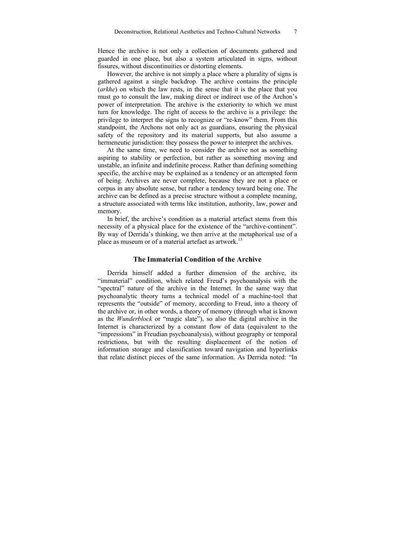Hence the archive is not only a collection of documents gathered and guarded in one place, but also a system articulated in signs, without fissures, without discontinuities or distorting elements.

However, the archive is not simply a place where a plurality of signs is gathered against a single backdrop. The archive contains the principle (*arkhe*) on which the law rests, in the sense that it is the place that you must go to consult the law, making direct or indirect use of the Archon's power of interpretation. The archive is the exteriority to which we must turn for knowledge. The right of access to the archive is a privilege: the privilege to interpret the signs to recognize or "re-know" them. From this standpoint, the Archons not only act as guardians, ensuring the physical safety of the repository and its material supports, but also assume a hermeneutic jurisdiction: they possess the power to interpret the archives.

At the same time, we need to consider the archive not as something aspiring to stability or perfection, but rather as something moving and unstable, an infinite and indefinite process. Rather than defining something specific, the archive may be explained as a tendency or an attempted form of being. Archives are never complete, because they are not a place or corpus in any absolute sense, but rather a tendency toward being one. The archive can be defined as a precise structure without a complete meaning, a structure associated with terms like institution, authority, law, power and memory.

In brief, the archive's condition as a material artefact stems from this necessity of a physical place for the existence of the "archive-continent". By way of Derrida's thinking, we then arrive at the metaphorical use of a place as museum or of a material artefact as artwork.<sup>13</sup>

#### **The Immaterial Condition of the Archive**

Derrida himself added a further dimension of the archive, its "immaterial" condition, which related Freud's psychoanalysis with the "spectral" nature of the archive in the Internet. In the same way that psychoanalytic theory turns a technical model of a machine-tool that represents the "outside" of memory, according to Freud, into a theory of the archive or, in other words, a theory of memory (through what is known as the *Wunderblock* or "magic slate"), so also the digital archive in the Internet is characterized by a constant flow of data (equivalent to the "impressions" in Freudian psychoanalysis), without geography or temporal restrictions, but with the resulting displacement of the notion of information storage and classification toward navigation and hyperlinks that relate distinct pieces of the same information. As Derrida noted: "In